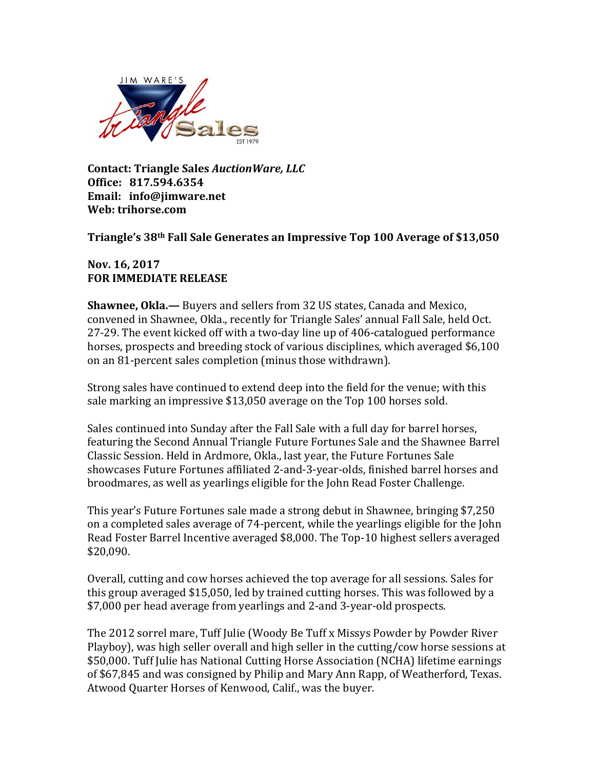

**Contact: Triangle Sales** *AuctionWare, LLC*  **Office: 817.594.6354 Email: info@jimware.net Web: trihorse.com**

## **Triangle's 38th Fall Sale Generates an Impressive Top 100 Average of \$13,050**

**Nov. 16, 2017 FOR IMMEDIATE RELEASE**

**Shawnee, Okla.—** Buyers and sellers from 32 US states, Canada and Mexico, convened in Shawnee, Okla., recently for Triangle Sales' annual Fall Sale, held Oct. 27-29. The event kicked off with a two-day line up of 406-catalogued performance horses, prospects and breeding stock of various disciplines, which averaged \$6,100 on an 81-percent sales completion (minus those withdrawn).

Strong sales have continued to extend deep into the field for the venue; with this sale marking an impressive \$13,050 average on the Top 100 horses sold.

Sales continued into Sunday after the Fall Sale with a full day for barrel horses, featuring the Second Annual Triangle Future Fortunes Sale and the Shawnee Barrel Classic Session. Held in Ardmore, Okla., last year, the Future Fortunes Sale showcases Future Fortunes affiliated 2-and-3-year-olds, finished barrel horses and broodmares, as well as yearlings eligible for the John Read Foster Challenge.

This year's Future Fortunes sale made a strong debut in Shawnee, bringing \$7,250 on a completed sales average of 74-percent, while the yearlings eligible for the John Read Foster Barrel Incentive averaged \$8,000. The Top-10 highest sellers averaged \$20,090.

Overall, cutting and cow horses achieved the top average for all sessions. Sales for this group averaged \$15,050, led by trained cutting horses. This was followed by a \$7,000 per head average from yearlings and 2-and 3-year-old prospects.

The 2012 sorrel mare, Tuff Julie (Woody Be Tuff x Missys Powder by Powder River Playboy), was high seller overall and high seller in the cutting/cow horse sessions at \$50,000. Tuff Julie has National Cutting Horse Association (NCHA) lifetime earnings of \$67,845 and was consigned by Philip and Mary Ann Rapp, of Weatherford, Texas. Atwood Quarter Horses of Kenwood, Calif., was the buyer.